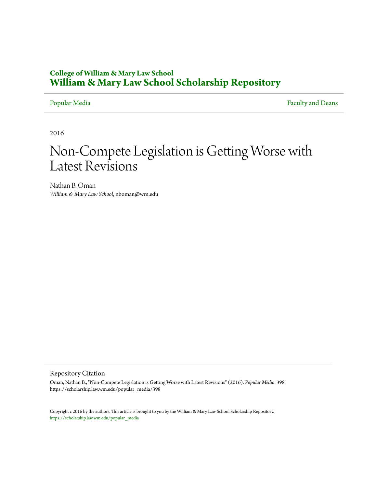### **College of William & Mary Law School [William & Mary Law School Scholarship Repository](https://scholarship.law.wm.edu)**

[Popular Media](https://scholarship.law.wm.edu/popular_media) [Faculty and Deans](https://scholarship.law.wm.edu/faculty)

2016

## Non-Compete Legislation is Getting Worse with Latest Revisions

Nathan B. Oman *William & Mary Law School*, nboman@wm.edu

### Repository Citation

Oman, Nathan B., "Non-Compete Legislation is Getting Worse with Latest Revisions" (2016). *Popular Media*. 398. https://scholarship.law.wm.edu/popular\_media/398

Copyright c 2016 by the authors. This article is brought to you by the William & Mary Law School Scholarship Repository. [https://scholarship.law.wm.edu/popular\\_media](https://scholarship.law.wm.edu/popular_media)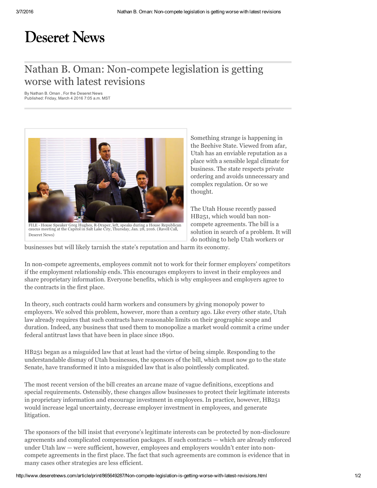# **Deseret News**

### Nathan B. Oman: Non-compete legislation is getting worse with latest revisions

By Nathan B. Oman , For the Deseret News Published: Friday, March 4 2016 7:05 a.m. MST



FILE - House Speaker Greg Hughes, R-Draper, left, speaks during a House Republican<br>caucus meeting at the Capitol in Salt Lake City, Thursday, Jan. 28, 2016. (Ravell Call, Deseret News)

Something strange is happening in the Beehive State. Viewed from afar, Utah has an enviable reputation as a place with a sensible legal climate for business. The state respects private ordering and avoids unnecessary and complex regulation. Or so we thought.

The Utah House recently passed HB251, which would ban noncompete agreements. The bill is a solution in search of a problem. It will do nothing to help Utah workers or

businesses but will likely tarnish the state's reputation and harm its economy.

In non-compete agreements, employees commit not to work for their former employers' competitors if the employment relationship ends. This encourages employers to invest in their employees and share proprietary information. Everyone benefits, which is why employees and employers agree to the contracts in the first place.

In theory, such contracts could harm workers and consumers by giving monopoly power to employers. We solved this problem, however, more than a century ago. Like every other state, Utah law already requires that such contracts have reasonable limits on their geographic scope and duration. Indeed, any business that used them to monopolize a market would commit a crime under federal antitrust laws that have been in place since 1890.

HB251 began as a misguided law that at least had the virtue of being simple. Responding to the understandable dismay of Utah businesses, the sponsors of the bill, which must now go to the state Senate, have transformed it into a misguided law that is also pointlessly complicated.

The most recent version of the bill creates an arcane maze of vague definitions, exceptions and special requirements. Ostensibly, these changes allow businesses to protect their legitimate interests in proprietary information and encourage investment in employees. In practice, however, HB251 would increase legal uncertainty, decrease employer investment in employees, and generate litigation.

The sponsors of the bill insist that everyone's legitimate interests can be protected by non-disclosure agreements and complicated compensation packages. If such contracts — which are already enforced under Utah law — were sufficient, however, employees and employers wouldn't enter into noncompete agreements in the first place. The fact that such agreements are common is evidence that in many cases other strategies are less efficient.